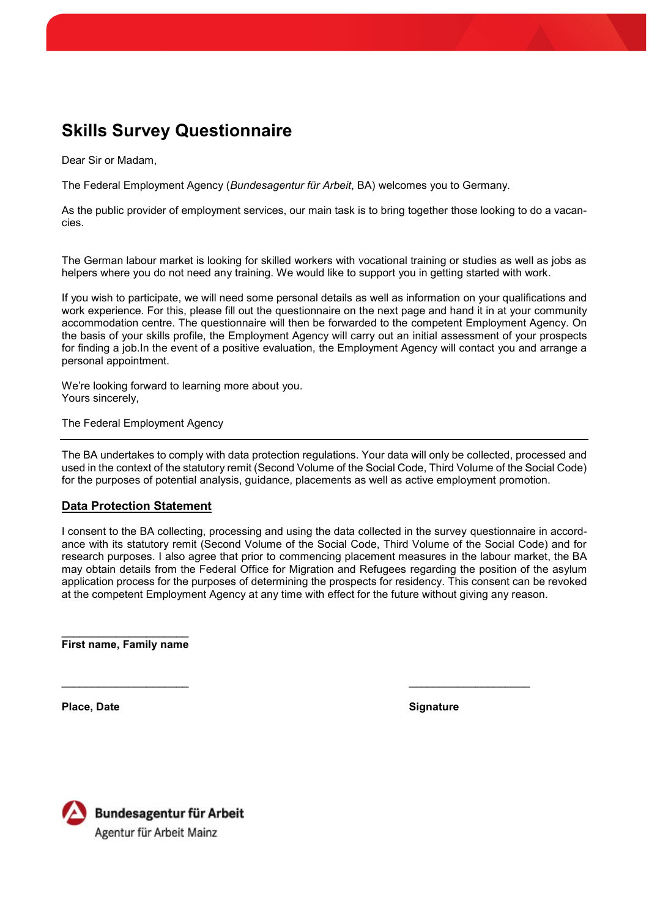## **Skills Survey Questionnaire**

Dear Sir or Madam,

The Federal Employment Agency (*Bundesagentur für Arbeit*, BA) welcomes you to Germany.

As the public provider of employment services, our main task is to bring together those looking to do a vacancies.

The German labour market is looking for skilled workers with vocational training or studies as well as jobs as helpers where you do not need any training. We would like to support you in getting started with work.

If you wish to participate, we will need some personal details as well as information on your qualifications and work experience. For this, please fill out the questionnaire on the next page and hand it in at your community accommodation centre. The questionnaire will then be forwarded to the competent Employment Agency. On the basis of your skills profile, the Employment Agency will carry out an initial assessment of your prospects for finding a job.In the event of a positive evaluation, the Employment Agency will contact you and arrange a personal appointment.

We're looking forward to learning more about you. Yours sincerely,

The Federal Employment Agency

The BA undertakes to comply with data protection regulations. Your data will only be collected, processed and used in the context of the statutory remit (Second Volume of the Social Code, Third Volume of the Social Code) for the purposes of potential analysis, guidance, placements as well as active employment promotion.

## **Data Protection Statement**

I consent to the BA collecting, processing and using the data collected in the survey questionnaire in accordance with its statutory remit (Second Volume of the Social Code, Third Volume of the Social Code) and for research purposes. I also agree that prior to commencing placement measures in the labour market, the BA may obtain details from the Federal Office for Migration and Refugees regarding the position of the asylum application process for the purposes of determining the prospects for residency. This consent can be revoked at the competent Employment Agency at any time with effect for the future without giving any reason.

**First name, Family name**

**Place, Date Signature**